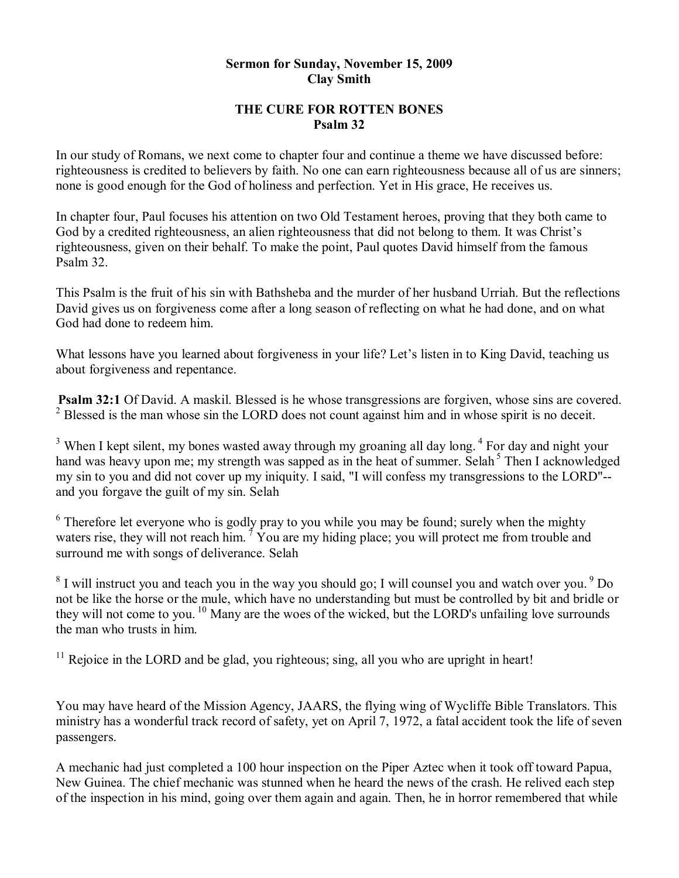#### **Sermon for Sunday, November 15, 2009 Clay Smith**

### **THE CURE FOR ROTTEN BONES Psalm 32**

In our study of Romans, we next come to chapter four and continue a theme we have discussed before: righteousness is credited to believers by faith. No one can earn righteousness because all of us are sinners; none is good enough for the God of holiness and perfection. Yet in His grace, He receives us.

In chapter four, Paul focuses his attention on two Old Testament heroes, proving that they both came to God by a credited righteousness, an alien righteousness that did not belong to them. It was Christ's righteousness, given on their behalf. To make the point, Paul quotes David himself from the famous Psalm 32.

This Psalm is the fruit of his sin with Bathsheba and the murder of her husband Urriah. But the reflections David gives us on forgiveness come after a long season of reflecting on what he had done, and on what God had done to redeem him.

What lessons have you learned about forgiveness in your life? Let's listen in to King David, teaching us about forgiveness and repentance.

**Psalm 32:1** Of David. A maskil. Blessed is he whose transgressions are forgiven, whose sins are covered.  $2$  Blessed is the man whose sin the LORD does not count against him and in whose spirit is no deceit.

<sup>3</sup> When I kept silent, my bones wasted away through my groaning all day long. <sup>4</sup> For day and night your hand was heavy upon me; my strength was sapped as in the heat of summer. Selah<sup>5</sup> Then I acknowledged my sin to you and did not cover up my iniquity. I said, "I will confess my transgressions to the LORD" and you forgave the guilt of my sin. Selah

<sup>6</sup> Therefore let everyone who is godly pray to you while you may be found; surely when the mighty waters rise, they will not reach him.<sup>7</sup> You are my hiding place; you will protect me from trouble and surround me with songs of deliverance. Selah

 $8$  I will instruct you and teach you in the way you should go; I will counsel you and watch over you.  $9$  Do not be like the horse or the mule, which have no understanding but must be controlled by bit and bridle or they will not come to you.<sup>10</sup> Many are the woes of the wicked, but the LORD's unfailing love surrounds the man who trusts in him.

 $11$  Rejoice in the LORD and be glad, you righteous; sing, all you who are upright in heart!

You may have heard of the Mission Agency, JAARS, the flying wing of Wycliffe Bible Translators. This ministry has a wonderful track record of safety, yet on April 7, 1972, a fatal accident took the life of seven passengers.

A mechanic had just completed a 100 hour inspection on the Piper Aztec when it took off toward Papua, New Guinea. The chief mechanic was stunned when he heard the news of the crash. He relived each step of the inspection in his mind, going over them again and again. Then, he in horror remembered that while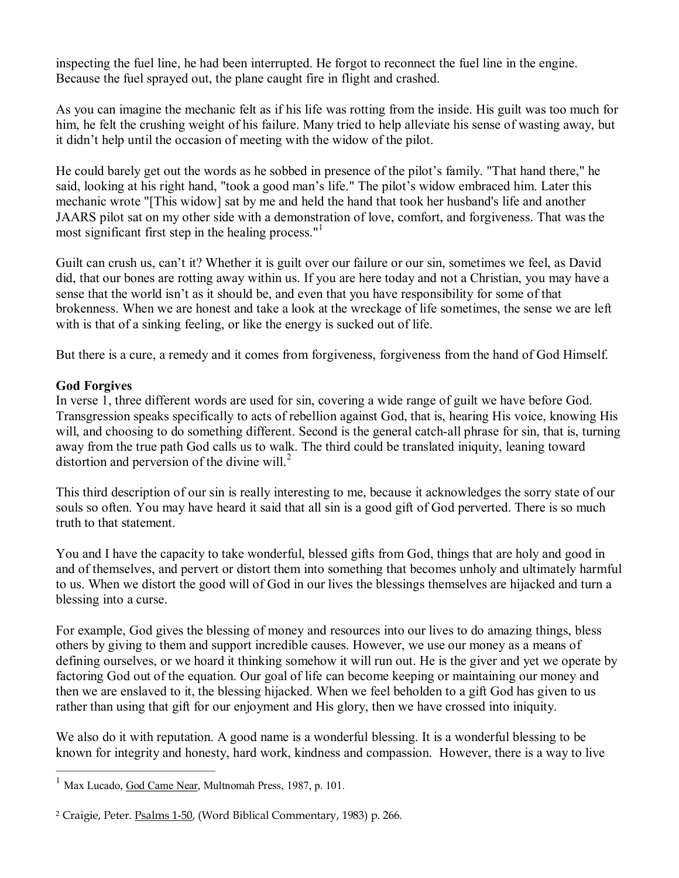inspecting the fuel line, he had been interrupted. He forgot to reconnect the fuel line in the engine. Because the fuel sprayed out, the plane caught fire in flight and crashed.

As you can imagine the mechanic felt as if his life was rotting from the inside. His guilt was too much for him, he felt the crushing weight of his failure. Many tried to help alleviate his sense of wasting away, but it didn't help until the occasion of meeting with the widow of the pilot.

He could barely get out the words as he sobbed in presence of the pilot's family. "That hand there," he said, looking at his right hand, "took a good man's life." The pilot's widow embraced him. Later this mechanic wrote "[This widow] sat by me and held the hand that took her husband's life and another JAARS pilot sat on my other side with a demonstration of love, comfort, and forgiveness. That was the most significant first step in the healing process." 1

Guilt can crush us, can't it? Whether it is guilt over our failure or our sin, sometimes we feel, as David did, that our bones are rotting away within us. If you are here today and not a Christian, you may have a sense that the world isn't as it should be, and even that you have responsibility for some of that brokenness. When we are honest and take a look at the wreckage of life sometimes, the sense we are left with is that of a sinking feeling, or like the energy is sucked out of life.

But there is a cure, a remedy and it comes from forgiveness, forgiveness from the hand of God Himself.

# **God Forgives**

In verse 1, three different words are used for sin, covering a wide range of guilt we have before God. Transgression speaks specifically to acts of rebellion against God, that is, hearing His voice, knowing His will, and choosing to do something different. Second is the general catch-all phrase for sin, that is, turning away from the true path God calls us to walk. The third could be translated iniquity, leaning toward distortion and perversion of the divine will. $^2$ 

This third description of our sin is really interesting to me, because it acknowledges the sorry state of our souls so often. You may have heard it said that all sin is a good gift of God perverted. There is so much truth to that statement.

You and I have the capacity to take wonderful, blessed gifts from God, things that are holy and good in and of themselves, and pervert or distort them into something that becomes unholy and ultimately harmful to us. When we distort the good will of God in our lives the blessings themselves are hijacked and turn a blessing into a curse.

For example, God gives the blessing of money and resources into our lives to do amazing things, bless others by giving to them and support incredible causes. However, we use our money as a means of defining ourselves, or we hoard it thinking somehow it will run out. He is the giver and yet we operate by factoring God out of the equation. Our goal of life can become keeping or maintaining our money and then we are enslaved to it, the blessing hijacked. When we feel beholden to a gift God has given to us rather than using that gift for our enjoyment and His glory, then we have crossed into iniquity.

We also do it with reputation. A good name is a wonderful blessing. It is a wonderful blessing to be known for integrity and honesty, hard work, kindness and compassion. However, there is a way to live

 $1$  Max Lucado, God Came Near, Multnomah Press, 1987, p. 101.

<sup>&</sup>lt;sup>2</sup> Craigie, Peter. Psalms 1-50, (Word Biblical Commentary, 1983) p. 266.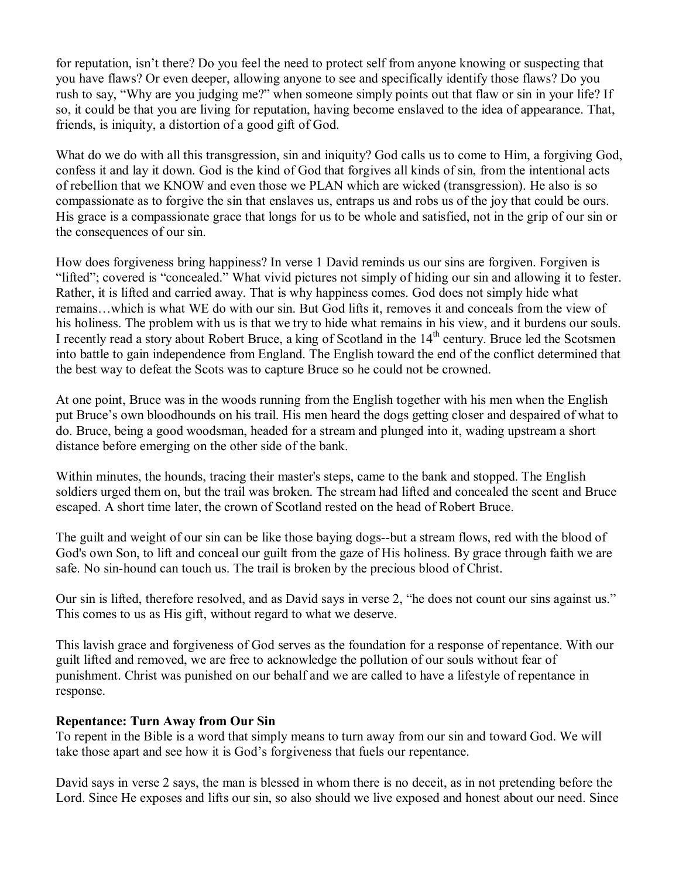for reputation, isn't there? Do you feel the need to protect self from anyone knowing or suspecting that you have flaws? Or even deeper, allowing anyone to see and specifically identify those flaws? Do you rush to say, "Why are you judging me?" when someone simply points out that flaw or sin in your life? If so, it could be that you are living for reputation, having become enslaved to the idea of appearance. That, friends, is iniquity, a distortion of a good gift of God.

What do we do with all this transgression, sin and iniquity? God calls us to come to Him, a forgiving God, confess it and lay it down. God is the kind of God that forgives all kinds of sin, from the intentional acts of rebellion that we KNOW and even those we PLAN which are wicked (transgression). He also is so compassionate as to forgive the sin that enslaves us, entraps us and robs us of the joy that could be ours. His grace is a compassionate grace that longs for us to be whole and satisfied, not in the grip of our sin or the consequences of our sin.

How does forgiveness bring happiness? In verse 1 David reminds us our sins are forgiven. Forgiven is "lifted"; covered is "concealed." What vivid pictures not simply of hiding our sin and allowing it to fester. Rather, it is lifted and carried away. That is why happiness comes. God does not simply hide what remains…which is what WE do with our sin. But God lifts it, removes it and conceals from the view of his holiness. The problem with us is that we try to hide what remains in his view, and it burdens our souls. I recently read a story about Robert Bruce, a king of Scotland in the 14<sup>th</sup> century. Bruce led the Scotsmen into battle to gain independence from England. The English toward the end of the conflict determined that the best way to defeat the Scots was to capture Bruce so he could not be crowned.

At one point, Bruce was in the woods running from the English together with his men when the English put Bruce's own bloodhounds on his trail. His men heard the dogs getting closer and despaired of what to do. Bruce, being a good woodsman, headed for a stream and plunged into it, wading upstream a short distance before emerging on the other side of the bank.

Within minutes, the hounds, tracing their master's steps, came to the bank and stopped. The English soldiers urged them on, but the trail was broken. The stream had lifted and concealed the scent and Bruce escaped. A short time later, the crown of Scotland rested on the head of Robert Bruce.

The guilt and weight of our sin can be like those baying dogs--but a stream flows, red with the blood of God's own Son, to lift and conceal our guilt from the gaze of His holiness. By grace through faith we are safe. No sin-hound can touch us. The trail is broken by the precious blood of Christ.

Our sin is lifted, therefore resolved, and as David says in verse 2, "he does not count our sins against us." This comes to us as His gift, without regard to what we deserve.

This lavish grace and forgiveness of God serves as the foundation for a response of repentance. With our guilt lifted and removed, we are free to acknowledge the pollution of our souls without fear of punishment. Christ was punished on our behalf and we are called to have a lifestyle of repentance in response.

#### **Repentance: Turn Away from Our Sin**

To repent in the Bible is a word that simply means to turn away from our sin and toward God. We will take those apart and see how it is God's forgiveness that fuels our repentance.

David says in verse 2 says, the man is blessed in whom there is no deceit, as in not pretending before the Lord. Since He exposes and lifts our sin, so also should we live exposed and honest about our need. Since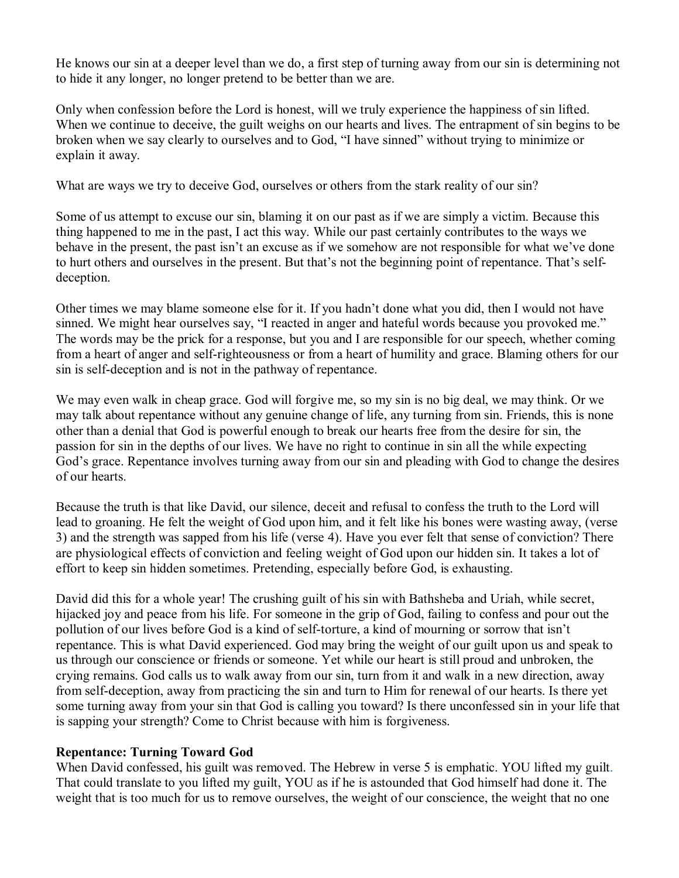He knows our sin at a deeper level than we do, a first step of turning away from our sin is determining not to hide it any longer, no longer pretend to be better than we are.

Only when confession before the Lord is honest, will we truly experience the happiness of sin lifted. When we continue to deceive, the guilt weighs on our hearts and lives. The entrapment of sin begins to be broken when we say clearly to ourselves and to God, "I have sinned" without trying to minimize or explain it away.

What are ways we try to deceive God, ourselves or others from the stark reality of our sin?

Some of us attempt to excuse our sin, blaming it on our past as if we are simply a victim. Because this thing happened to me in the past, I act this way. While our past certainly contributes to the ways we behave in the present, the past isn't an excuse as if we somehow are not responsible for what we've done to hurt others and ourselves in the present. But that's not the beginning point of repentance. That's self deception.

Other times we may blame someone else for it. If you hadn't done what you did, then Iwould not have sinned. We might hear ourselves say, "I reacted in anger and hateful words because you provoked me." The words may be the prick for a response, but you and I are responsible for our speech, whether coming from a heart of anger and self-righteousness or from a heart of humility and grace. Blaming others for our sin is self-deception and is not in the pathway of repentance.

We may even walk in cheap grace. God will forgive me, so my sin is no big deal, we may think. Or we may talk about repentance without any genuine change of life, any turning from sin. Friends, this is none other than a denial that God is powerful enough to break our hearts free from the desire for sin, the passion for sin in the depths of our lives. We have no right to continue in sin all the while expecting God's grace. Repentance involves turning away from our sin and pleading with God to change the desires of our hearts.

Because the truth is that like David, our silence, deceit and refusal to confess the truth to the Lord will lead to groaning. He felt the weight of God upon him, and it felt like his bones were wasting away, (verse 3) and the strength was sapped from his life (verse 4). Have you ever felt that sense of conviction? There are physiological effects of conviction and feeling weight of God upon our hidden sin. It takes a lot of effort to keep sin hidden sometimes. Pretending, especially before God, is exhausting.

David did this for a whole year! The crushing guilt of his sin with Bathsheba and Uriah, while secret, hijacked joy and peace from his life. For someone in the grip of God, failing to confess and pour out the pollution of our lives before God is a kind of self-torture, a kind of mourning or sorrow that isn't repentance. This is what David experienced. God may bring the weight of our guilt upon us and speak to us through our conscience or friends or someone. Yet while our heart is still proud and unbroken, the crying remains. God calls us to walk away from our sin, turn from it and walk in a new direction, away from self-deception, away from practicing the sin and turn to Him for renewal of our hearts. Is there yet some turning away from your sin that God is calling you toward? Is there unconfessed sin in your life that is sapping your strength? Come to Christ because with him is forgiveness.

# **Repentance: Turning Toward God**

When David confessed, his guilt was removed. The Hebrew in verse 5 is emphatic. YOU lifted my guilt. That could translate to you lifted my guilt, YOU as if he is astounded that God himself had done it. The weight that is too much for us to remove ourselves, the weight of our conscience, the weight that no one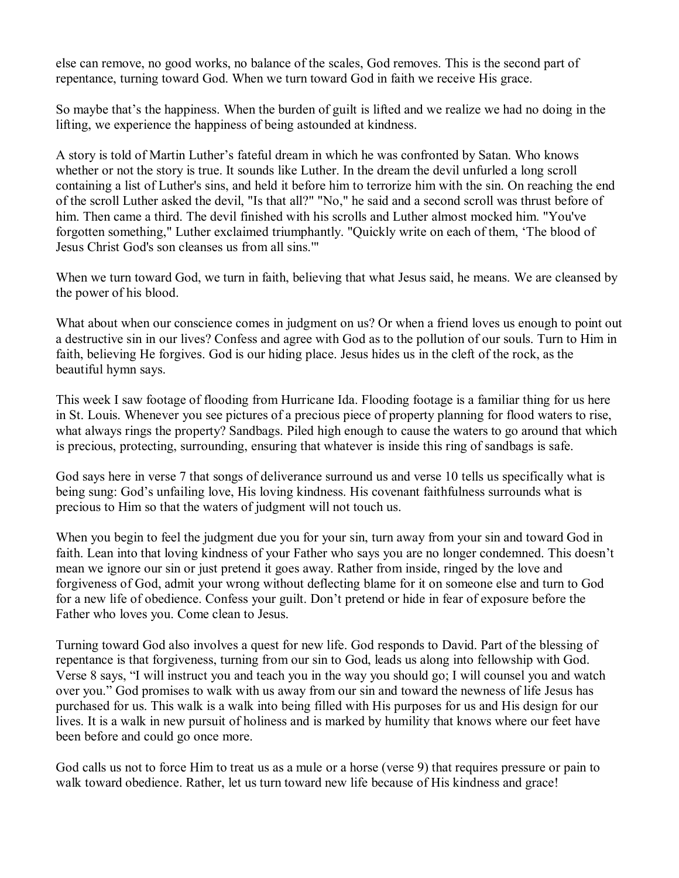else can remove, no good works, no balance of the scales, God removes. This is the second part of repentance, turning toward God. When we turn toward God in faith we receive His grace.

So maybe that's the happiness. When the burden of guilt is lifted and we realize we had no doing in the lifting, we experience the happiness of being astounded at kindness.

A story is told of Martin Luther's fateful dream in which he was confronted by Satan. Who knows whether or not the story is true. It sounds like Luther. In the dream the devil unfurled a long scroll containing a list of Luther's sins, and held it before him to terrorize him with the sin. On reaching the end of the scroll Luther asked the devil, "Is that all?" "No," he said and a second scroll was thrust before of him. Then came a third. The devil finished with his scrolls and Luther almost mocked him. "You've forgotten something," Luther exclaimed triumphantly. "Quickly write on each of them, 'The blood of Jesus Christ God's son cleanses us from all sins.'"

When we turn toward God, we turn in faith, believing that what Jesus said, he means. We are cleansed by the power of his blood.

What about when our conscience comes in judgment on us? Or when a friend loves us enough to point out a destructive sin in our lives? Confess and agree with God as to the pollution of our souls. Turn to Him in faith, believing He forgives. God is our hiding place. Jesus hides us in the cleft of the rock, as the beautiful hymn says.

This week I saw footage of flooding from Hurricane Ida. Flooding footage is a familiar thing for us here in St. Louis. Whenever you see pictures of a precious piece of property planning for flood waters to rise, what always rings the property? Sandbags. Piled high enough to cause the waters to go around that which is precious, protecting, surrounding, ensuring that whatever is inside this ring of sandbags is safe.

God says here in verse 7 that songs of deliverance surround us and verse 10 tells us specifically what is being sung: God's unfailing love, His loving kindness. His covenant faithfulness surrounds what is precious to Him so that the waters of judgment will not touch us.

When you begin to feel the judgment due you for your sin, turn away from your sin and toward God in faith. Lean into that loving kindness of your Father who says you are no longer condemned. This doesn't mean we ignore our sin or just pretend it goes away. Rather from inside, ringed by the love and forgiveness of God, admit your wrong without deflecting blame for it on someone else and turn to God for a new life of obedience. Confess your guilt. Don't pretend or hide in fear of exposure before the Father who loves you. Come clean to Jesus.

Turning toward God also involves a quest for new life. God responds to David. Part of the blessing of repentance is that forgiveness, turning from our sin to God, leads us along into fellowship with God. Verse 8 says, "I will instruct you and teach you in the way you should go; I will counsel you and watch over you." God promises to walk with us away from our sin and toward the newness of life Jesus has purchased for us. This walk is a walk into being filled with His purposes for us and His design for our lives. It is a walk in new pursuit of holiness and is marked by humility that knows where our feet have been before and could go once more.

God calls us not to force Him to treat us as a mule or a horse (verse 9) that requires pressure or pain to walk toward obedience. Rather, let us turn toward new life because of His kindness and grace!